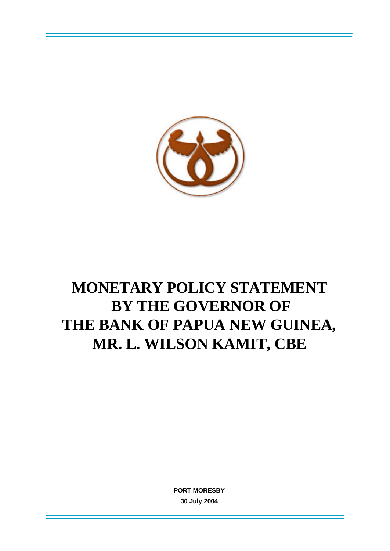

# **MONETARY POLICY STATEMENT BY THE GOVERNOR OF THE BANK OF PAPUA NEW GUINEA, MR. L. WILSON KAMIT, CBE**

**PORT MORESBY 30 July 2004**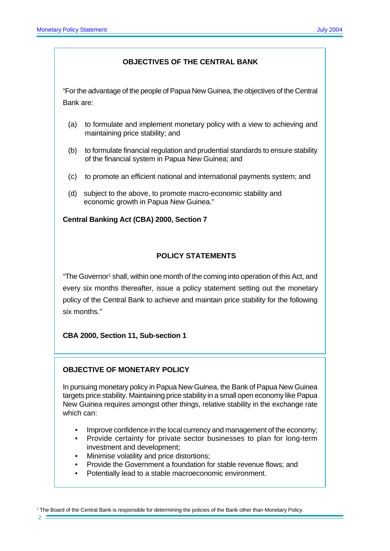### **OBJECTIVES OF THE CENTRAL BANK**

"For the advantage of the people of Papua New Guinea, the objectives of the Central Bank are:

- (a) to formulate and implement monetary policy with a view to achieving and maintaining price stability; and
- (b) to formulate financial regulation and prudential standards to ensure stability of the financial system in Papua New Guinea; and
- (c) to promote an efficient national and international payments system; and
- (d) subject to the above, to promote macro-economic stability and economic growth in Papua New Guinea."

#### **Central Banking Act (CBA) 2000, Section 7**

## **POLICY STATEMENTS**

"The Governor<sup>1</sup> shall, within one month of the coming into operation of this Act, and every six months thereafter, issue a policy statement setting out the monetary policy of the Central Bank to achieve and maintain price stability for the following six months."

**CBA 2000, Section 11, Sub-section 1**

#### **OBJECTIVE OF MONETARY POLICY**

In pursuing monetary policy in Papua New Guinea, the Bank of Papua New Guinea targets price stability. Maintaining price stability in a small open economy like Papua New Guinea requires amongst other things, relative stability in the exchange rate which can:

- Improve confidence in the local currency and management of the economy;
- Provide certainty for private sector businesses to plan for long-term investment and development;
- Minimise volatility and price distortions;
- Provide the Government a foundation for stable revenue flows; and
- Potentially lead to a stable macroeconomic environment.

1 The Board of the Central Bank is responsible for determining the policies of the Bank other than Monetary Policy.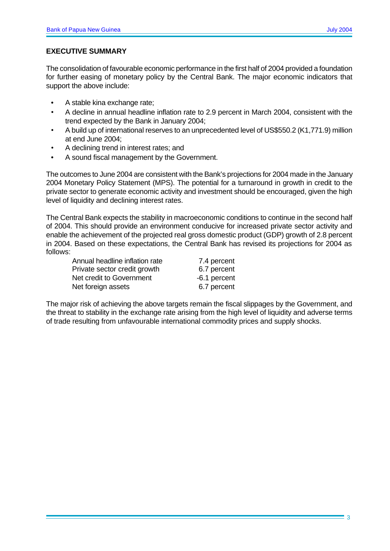## **EXECUTIVE SUMMARY**

The consolidation of favourable economic performance in the first half of 2004 provided a foundation for further easing of monetary policy by the Central Bank. The major economic indicators that support the above include:

- A stable kina exchange rate;
- A decline in annual headline inflation rate to 2.9 percent in March 2004, consistent with the trend expected by the Bank in January 2004;
- A build up of international reserves to an unprecedented level of US\$550.2 (K1,771.9) million at end June 2004;
- A declining trend in interest rates; and
- A sound fiscal management by the Government.

The outcomes to June 2004 are consistent with the Bank's projections for 2004 made in the January 2004 Monetary Policy Statement (MPS). The potential for a turnaround in growth in credit to the private sector to generate economic activity and investment should be encouraged, given the high level of liquidity and declining interest rates.

The Central Bank expects the stability in macroeconomic conditions to continue in the second half of 2004. This should provide an environment conducive for increased private sector activity and enable the achievement of the projected real gross domestic product (GDP) growth of 2.8 percent in 2004. Based on these expectations, the Central Bank has revised its projections for 2004 as follows:

| Annual headline inflation rate | 7.4 percent  |
|--------------------------------|--------------|
| Private sector credit growth   | 6.7 percent  |
| Net credit to Government       | -6.1 percent |
| Net foreign assets             | 6.7 percent  |

The major risk of achieving the above targets remain the fiscal slippages by the Government, and the threat to stability in the exchange rate arising from the high level of liquidity and adverse terms of trade resulting from unfavourable international commodity prices and supply shocks.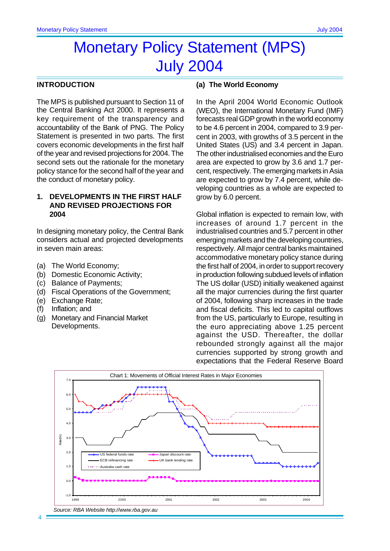## Monetary Policy Statement (MPS) July 2004

#### **INTRODUCTION**

The MPS is published pursuant to Section 11 of the Central Banking Act 2000. It represents a key requirement of the transparency and accountability of the Bank of PNG. The Policy Statement is presented in two parts. The first covers economic developments in the first half of the year and revised projections for 2004. The second sets out the rationale for the monetary policy stance for the second half of the year and the conduct of monetary policy.

#### **1. DEVELOPMENTS IN THE FIRST HALF AND REVISED PROJECTIONS FOR 2004**

In designing monetary policy, the Central Bank considers actual and projected developments in seven main areas:

- (a) The World Economy;
- (b) Domestic Economic Activity;
- (c) Balance of Payments;
- (d) Fiscal Operations of the Government;
- (e) Exchange Rate;
- (f) Inflation; and
- (g) Monetary and Financial Market Developments.

#### **(a) The World Economy**

In the April 2004 World Economic Outlook (WEO), the International Monetary Fund (IMF) forecasts real GDP growth in the world economy to be 4.6 percent in 2004, compared to 3.9 percent in 2003, with growths of 3.5 percent in the United States (US) and 3.4 percent in Japan. The other industrialised economies and the Euro area are expected to grow by 3.6 and 1.7 percent, respectively. The emerging markets in Asia are expected to grow by 7.4 percent, while developing countries as a whole are expected to grow by 6.0 percent.

Global inflation is expected to remain low, with increases of around 1.7 percent in the industrialised countries and 5.7 percent in other emerging markets and the developing countries, respectively. All major central banks maintained accommodative monetary policy stance during the first half of 2004, in order to support recovery in production following subdued levels of inflation The US dollar (USD) initially weakened against all the major currencies during the first quarter of 2004, following sharp increases in the trade and fiscal deficits. This led to capital outflows from the US, particularly to Europe, resulting in the euro appreciating above 1.25 percent against the USD. Thereafter, the dollar rebounded strongly against all the major currencies supported by strong growth and expectations that the Federal Reserve Board

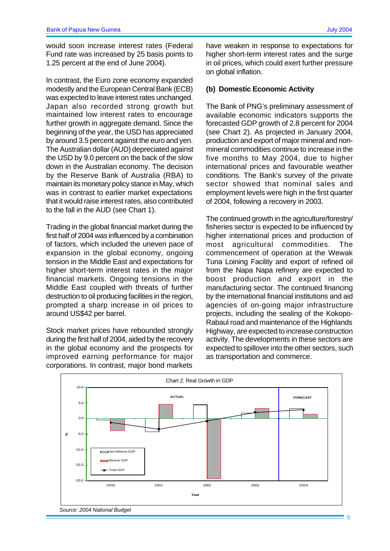would soon increase interest rates (Federal Fund rate was increased by 25 basis points to 1.25 percent at the end of June 2004).

In contrast, the Euro zone economy expanded modestly and the European Central Bank (ECB) was expected to leave interest rates unchanged. Japan also recorded strong growth but maintained low interest rates to encourage further growth in aggregate demand. Since the beginning of the year, the USD has appreciated by around 3.5 percent against the euro and yen. The Australian dollar (AUD) depreciated against the USD by 9.0 percent on the back of the slow down in the Australian economy. The decision by the Reserve Bank of Australia (RBA) to maintain its monetary policy stance in May, which was in contrast to earlier market expectations that it would raise interest rates, also contributed to the fall in the AUD (see Chart 1).

Trading in the global financial market during the first half of 2004 was influenced by a combination of factors, which included the uneven pace of expansion in the global economy, ongoing tension in the Middle East and expectations for higher short-term interest rates in the major financial markets. Ongoing tensions in the Middle East coupled with threats of further destruction to oil producing facilities in the region, prompted a sharp increase in oil prices to around US\$42 per barrel.

Stock market prices have rebounded strongly during the first half of 2004, aided by the recovery in the global economy and the prospects for improved earning performance for major corporations. In contrast, major bond markets

have weaken in response to expectations for higher short-term interest rates and the surge in oil prices, which could exert further pressure on global inflation.

## **(b) Domestic Economic Activity**

The Bank of PNG's preliminary assessment of available economic indicators supports the forecasted GDP growth of 2.8 percent for 2004 (see Chart 2). As projected in January 2004, production and export of major mineral and nonmineral commodities continue to increase in the five months to May 2004, due to higher international prices and favourable weather conditions. The Bank's survey of the private sector showed that nominal sales and employment levels were high in the first quarter of 2004, following a recovery in 2003.

The continued growth in the agriculture/forestry/ fisheries sector is expected to be influenced by higher international prices and production of most agricultural commodities. The commencement of operation at the Wewak Tuna Loining Facility and export of refined oil from the Napa Napa refinery are expected to boost production and export in the manufacturing sector. The continued financing by the international financial institutions and aid agencies of on-going major infrastructure projects, including the sealing of the Kokopo-Rabaul road and maintenance of the Highlands Highway, are expected to increase construction activity. The developments in these sectors are expected to spillover into the other sectors, such as transportation and commerce.



5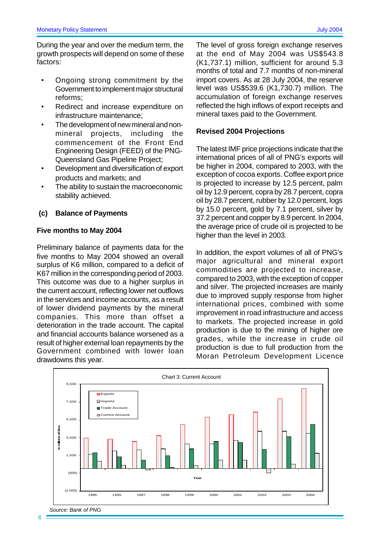During the year and over the medium term, the growth prospects will depend on some of these factors:

- Ongoing strong commitment by the Government to implement major structural reforms;
- Redirect and increase expenditure on infrastructure maintenance;
- The development of new mineral and nonmineral projects, including the commencement of the Front End Engineering Design (FEED) of the PNG-Queensland Gas Pipeline Project;
- Development and diversification of export products and markets; and
- The ability to sustain the macroeconomic stability achieved.

#### **(c) Balance of Payments**

#### **Five months to May 2004**

Preliminary balance of payments data for the five months to May 2004 showed an overall surplus of K6 million, compared to a deficit of K67 million in the corresponding period of 2003. This outcome was due to a higher surplus in the current account, reflecting lower net outflows in the services and income accounts, as a result of lower dividend payments by the mineral companies. This more than offset a deterioration in the trade account. The capital and financial accounts balance worsened as a result of higher external loan repayments by the Government combined with lower loan drawdowns this year.

The level of gross foreign exchange reserves at the end of May 2004 was US\$543.8 (K1,737.1) million, sufficient for around 5.3 months of total and 7.7 months of non-mineral import covers. As at 28 July 2004, the reserve level was US\$539.6 (K1,730.7) million. The accumulation of foreign exchange reserves reflected the high inflows of export receipts and mineral taxes paid to the Government.

#### **Revised 2004 Projections**

The latest IMF price projections indicate that the international prices of all of PNG's exports will be higher in 2004, compared to 2003, with the exception of cocoa exports. Coffee export price is projected to increase by 12.5 percent, palm oil by 12.9 percent, copra by 28.7 percent, copra oil by 28.7 percent, rubber by 12.0 percent, logs by 15.0 percent, gold by 7.1 percent, silver by 37.2 percent and copper by 8.9 percent. In 2004, the average price of crude oil is projected to be higher than the level in 2003.

In addition, the export volumes of all of PNG's major agricultural and mineral export commodities are projected to increase, compared to 2003, with the exception of copper and silver. The projected increases are mainly due to improved supply response from higher international prices, combined with some improvement in road infrastructure and access to markets. The projected increase in gold production is due to the mining of higher ore grades, while the increase in crude oil production is due to full production from the Moran Petroleum Development Licence

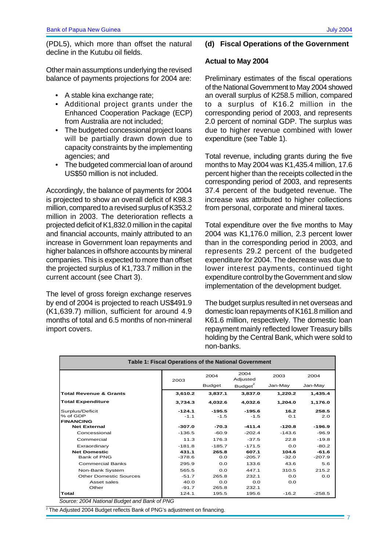(PDL5), which more than offset the natural decline in the Kutubu oil fields.

Other main assumptions underlying the revised balance of payments projections for 2004 are:

- A stable kina exchange rate;
- Additional project grants under the Enhanced Cooperation Package (ECP) from Australia are not included;
- The budgeted concessional project loans will be partially drawn down due to capacity constraints by the implementing agencies; and
- The budgeted commercial loan of around US\$50 million is not included.

Accordingly, the balance of payments for 2004 is projected to show an overall deficit of K98.3 million, compared to a revised surplus of K353.2 million in 2003. The deterioration reflects a projected deficit of K1,832.0 million in the capital and financial accounts, mainly attributed to an increase in Government loan repayments and higher balances in offshore accounts by mineral companies. This is expected to more than offset the projected surplus of K1,733.7 million in the current account (see Chart 3).

The level of gross foreign exchange reserves by end of 2004 is projected to reach US\$491.9 (K1,639.7) million, sufficient for around 4.9 months of total and 6.5 months of non-mineral import covers.

#### **(d) Fiscal Operations of the Government**

#### **Actual to May 2004**

Preliminary estimates of the fiscal operations of the National Government to May 2004 showed an overall surplus of K258.5 million, compared to a surplus of K16.2 million in the corresponding period of 2003, and represents 2.0 percent of nominal GDP. The surplus was due to higher revenue combined with lower expenditure (see Table 1).

Total revenue, including grants during the five months to May 2004 was K1,435.4 million, 17.6 percent higher than the receipts collected in the corresponding period of 2003, and represents 37.4 percent of the budgeted revenue. The increase was attributed to higher collections from personal, corporate and mineral taxes.

Total expenditure over the five months to May 2004 was K1,176.0 million, 2.3 percent lower than in the corresponding period in 2003, and represents 29.2 percent of the budgeted expenditure for 2004. The decrease was due to lower interest payments, continued tight expenditure control by the Government and slow implementation of the development budget.

The budget surplus resulted in net overseas and domestic loan repayments of K161.8 million and K61.6 million, respectively. The domestic loan repayment mainly reflected lower Treasury bills holding by the Central Bank, which were sold to non-banks.

| Table 1: Fiscal Operations of the National Government |          |               |                     |          |          |
|-------------------------------------------------------|----------|---------------|---------------------|----------|----------|
|                                                       | 2003     | 2004          | 2004<br>Adjusted    | 2003     | 2004     |
|                                                       |          | <b>Budget</b> | Budget <sup>2</sup> | Jan-May  | Jan-May  |
| <b>Total Revenue &amp; Grants</b>                     | 3,610.2  | 3,837.1       | 3,837.0             | 1,220.2  | 1,435.4  |
| <b>Total Expenditure</b>                              | 3,734.3  | 4,032.6       | 4.032.6             | 1.204.0  | 1,176.0  |
| Surplus/Deficit                                       | $-124.1$ | $-195.5$      | $-195.6$            | 16.2     | 258.5    |
| % of GDP                                              | $-1.1$   | $-1.5$        | $-1.5$              | O.1      | 2.0      |
| <b>FINANCING</b>                                      |          |               |                     |          |          |
| <b>Net External</b>                                   | $-307.0$ | $-70.3$       | $-411.4$            | $-120.8$ | $-196.9$ |
| Concessional                                          | $-136.5$ | $-60.9$       | $-202.4$            | $-143.6$ | $-96.9$  |
| Commercial                                            | 11.3     | 176.3         | $-37.5$             | 22.8     | $-19.8$  |
| Exraordinary                                          | $-181.8$ | $-185.7$      | $-171.5$            | 0.0      | $-80.2$  |
| <b>Net Domestic</b>                                   | 431.1    | 265.8         | 607.1               | 104.6    | $-61.6$  |
| Bank of PNG                                           | $-378.6$ | 0.0           | $-205.7$            | $-32.0$  | $-207.9$ |
| <b>Commercial Banks</b>                               | 295.9    | 0.0           | 133.6               | 43.6     | 5.6      |
| Non-Bank System                                       | 565.5    | 0.0           | 447.1               | 310.5    | 215.2    |
| Other Domestic Sources                                | $-51.7$  | 265.8         | 232.1               | 0.0      | 0.0      |
| Asset sales                                           | 40.0     | 0.0           | 0.0                 | 0.0      |          |
| Other                                                 | $-91.7$  | 265.8         | 232.1               |          |          |
| Total                                                 | 124.1    | 195.5         | 195.6               | $-16.2$  | $-258.5$ |

*Source: 2004 National Budget and Bank of PNG*

2 The Adjusted 2004 Budget reflects Bank of PNG's adjustment on financing.

7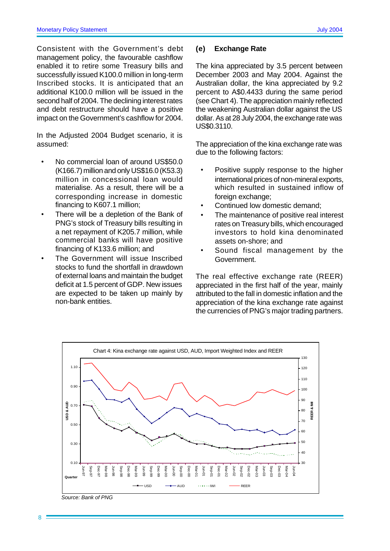Consistent with the Government's debt management policy, the favourable cashflow enabled it to retire some Treasury bills and successfully issued K100.0 million in long-term Inscribed stocks. It is anticipated that an additional K100.0 million will be issued in the second half of 2004. The declining interest rates and debt restructure should have a positive impact on the Government's cashflow for 2004.

In the Adjusted 2004 Budget scenario, it is assumed:

- No commercial loan of around US\$50.0 (K166.7) million and only US\$16.0 (K53.3) million in concessional loan would materialise. As a result, there will be a corresponding increase in domestic financing to K607.1 million;
- There will be a depletion of the Bank of PNG's stock of Treasury bills resulting in a net repayment of K205.7 million, while commercial banks will have positive financing of K133.6 million; and
- The Government will issue Inscribed stocks to fund the shortfall in drawdown of external loans and maintain the budget deficit at 1.5 percent of GDP. New issues are expected to be taken up mainly by non-bank entities.

#### **(e) Exchange Rate**

The kina appreciated by 3.5 percent between December 2003 and May 2004. Against the Australian dollar, the kina appreciated by 9.2 percent to A\$0.4433 during the same period (see Chart 4). The appreciation mainly reflected the weakening Australian dollar against the US dollar. As at 28 July 2004, the exchange rate was US\$0.3110.

The appreciation of the kina exchange rate was due to the following factors:

- Positive supply response to the higher international prices of non-mineral exports, which resulted in sustained inflow of foreign exchange;
- Continued low domestic demand;
- The maintenance of positive real interest rates on Treasury bills, which encouraged investors to hold kina denominated assets on-shore; and
- Sound fiscal management by the Government.

The real effective exchange rate (REER) appreciated in the first half of the year, mainly attributed to the fall in domestic inflation and the appreciation of the kina exchange rate against the currencies of PNG's major trading partners.



*Source: Bank of PNG*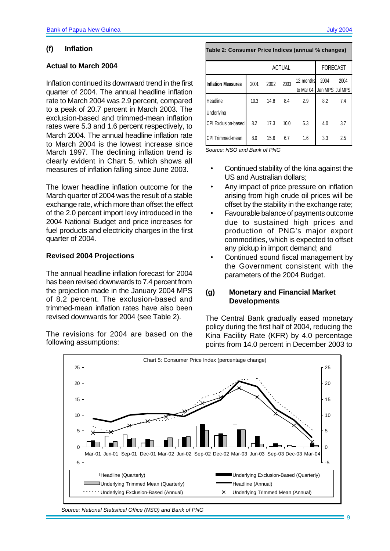## **(f) Inflation**

## **Actual to March 2004**

Inflation continued its downward trend in the first quarter of 2004. The annual headline inflation rate to March 2004 was 2.9 percent, compared to a peak of 20.7 percent in March 2003. The exclusion-based and trimmed-mean inflation rates were 5.3 and 1.6 percent respectively, to March 2004. The annual headline inflation rate to March 2004 is the lowest increase since March 1997. The declining inflation trend is clearly evident in Chart 5, which shows all measures of inflation falling since June 2003.

The lower headline inflation outcome for the March quarter of 2004 was the result of a stable exchange rate, which more than offset the effect of the 2.0 percent import levy introduced in the 2004 National Budget and price increases for fuel products and electricity charges in the first quarter of 2004.

## **Revised 2004 Projections**

The annual headline inflation forecast for 2004 has been revised downwards to 7.4 percent from the projection made in the January 2004 MPS of 8.2 percent. The exclusion-based and trimmed-mean inflation rates have also been revised downwards for 2004 (see Table 2).

The revisions for 2004 are based on the following assumptions:

| Table 2: Consumer Price Indices (annual % changes) |        |                           |      |      |                 |     |
|----------------------------------------------------|--------|---------------------------|------|------|-----------------|-----|
|                                                    | ACTUAL |                           |      |      | <b>FORECAST</b> |     |
| 2002<br><b>Inflation Measures</b><br>2001          | 2003   | 12 months                 | 2004 | 2004 |                 |     |
|                                                    |        | to Mar 04 Jan MPS Jul MPS |      |      |                 |     |
| Headline                                           | 10.3   | 14.8                      | 8.4  | 2.9  | 8.2             | 7.4 |
| <b>Underlying</b>                                  |        |                           |      |      |                 |     |
| <b>CPI Exclusion-based</b>                         | 8.2    | 17.3                      | 10.0 | 5.3  | 4.0             | 3.7 |
| CPI Trimmed-mean                                   | 8.0    | 15.6                      | 6.7  | 1.6  | 3.3             | 2.5 |

*Source: NSO and Bank of PNG*

Г

- Continued stability of the kina against the US and Australian dollars;
- Any impact of price pressure on inflation arising from high crude oil prices will be offset by the stability in the exchange rate;
- Favourable balance of payments outcome due to sustained high prices and production of PNG's major export commodities, which is expected to offset any pickup in import demand; and
- Continued sound fiscal management by the Government consistent with the parameters of the 2004 Budget.

## **(g) Monetary and Financial Market Developments**

The Central Bank gradually eased monetary policy during the first half of 2004, reducing the Kina Facility Rate (KFR) by 4.0 percentage points from 14.0 percent in December 2003 to



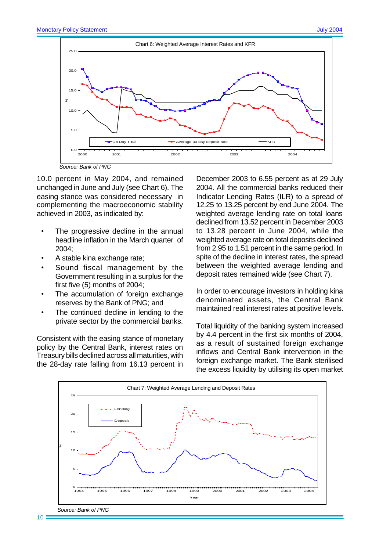

*Source: Bank of PNG*

10.0 percent in May 2004, and remained unchanged in June and July (see Chart 6). The easing stance was considered necessary in complementing the macroeconomic stability achieved in 2003, as indicated by:

- The progressive decline in the annual headline inflation in the March quarter of 2004;
- A stable kina exchange rate;
- Sound fiscal management by the Government resulting in a surplus for the first five (5) months of 2004;
- The accumulation of foreign exchange reserves by the Bank of PNG; and
- The continued decline in lending to the private sector by the commercial banks.

Consistent with the easing stance of monetary policy by the Central Bank, interest rates on Treasury bills declined across all maturities, with the 28-day rate falling from 16.13 percent in December 2003 to 6.55 percent as at 29 July 2004. All the commercial banks reduced their Indicator Lending Rates (ILR) to a spread of 12.25 to 13.25 percent by end June 2004. The weighted average lending rate on total loans declined from 13.52 percent in December 2003 to 13.28 percent in June 2004, while the weighted average rate on total deposits declined from 2.95 to 1.51 percent in the same period. In spite of the decline in interest rates, the spread between the weighted average lending and deposit rates remained wide (see Chart 7).

In order to encourage investors in holding kina denominated assets, the Central Bank maintained real interest rates at positive levels.

Total liquidity of the banking system increased by 4.4 percent in the first six months of 2004, as a result of sustained foreign exchange inflows and Central Bank intervention in the foreign exchange market. The Bank sterilised the excess liquidity by utilising its open market

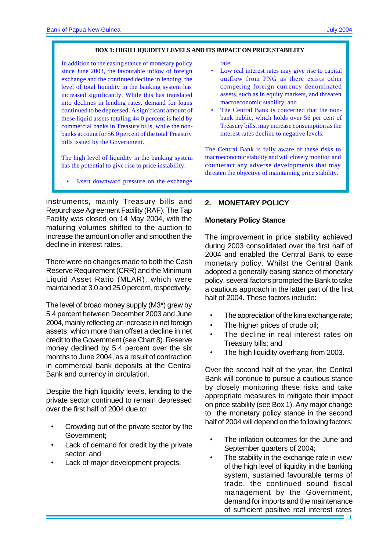#### **BOX 1: HIGH LIQUIDITY LEVELS AND ITS IMPACT ON PRICE STABILITY**

In addition to the easing stance of monetary policy since June 2003, the favourable inflow of foreign exchange and the continued decline in lending, the level of total liquidity in the banking system has increased significantly. While this has translated into declines in lending rates, demand for loans continued to be depressed. A significant amount of these liquid assets totaling 44.0 percent is held by commercial banks in Treasury bills, while the nonbanks account for 56.0 percent of the total Treasury bills issued by the Government.

The high level of liquidity in the banking system has the potential to give rise to price instability:

Exert downward pressure on the exchange

instruments, mainly Treasury bills and Repurchase Agreement Facility (RAF). The Tap Facility was closed on 14 May 2004, with the maturing volumes shifted to the auction to increase the amount on offer and smoothen the decline in interest rates.

There were no changes made to both the Cash Reserve Requirement (CRR) and the Minimum Liquid Asset Ratio (MLAR), which were maintained at 3.0 and 25.0 percent, respectively.

The level of broad money supply (M3\*) grew by 5.4 percent between December 2003 and June 2004, mainly reflecting an increase in net foreign assets, which more than offset a decline in net credit to the Government (see Chart 8). Reserve money declined by 5.4 percent over the six months to June 2004, as a result of contraction in commercial bank deposits at the Central Bank and currency in circulation.

Despite the high liquidity levels, lending to the private sector continued to remain depressed over the first half of 2004 due to:

- Crowding out of the private sector by the Government;
- Lack of demand for credit by the private sector; and
- Lack of major development projects.

rate;

- Low real interest rates may give rise to capital outflow from PNG as there exists other competing foreign currency denominated assets, such as in equity markets, and threaten macroeconomic stability; and
- The Central Bank is concerned that the nonbank public, which holds over 56 per cent of Treasury bills, may increase consumption as the interest rates decline to negative levels.

The Central Bank is fully aware of these risks to macroeconomic stability and will closely monitor and counteract any adverse developments that may threaten the objective of maintaining price stability.

## **2. MONETARY POLICY**

#### **Monetary Policy Stance**

The improvement in price stability achieved during 2003 consolidated over the first half of 2004 and enabled the Central Bank to ease monetary policy. Whilst the Central Bank adopted a generally easing stance of monetary policy, several factors prompted the Bank to take a cautious approach in the latter part of the first half of 2004. These factors include:

- The appreciation of the kina exchange rate;
- The higher prices of crude oil;
- The decline in real interest rates on Treasury bills; and
- The high liquidity overhang from 2003.

Over the second half of the year, the Central Bank will continue to pursue a cautious stance by closely monitoring these risks and take appropriate measures to mitigate their impact on price stability (see Box 1). Any major change to the monetary policy stance in the second half of 2004 will depend on the following factors:

- The inflation outcomes for the June and September quarters of 2004;
- The stability in the exchange rate in view of the high level of liquidity in the banking system, sustained favourable terms of trade, the continued sound fiscal management by the Government, demand for imports and the maintenance of sufficient positive real interest rates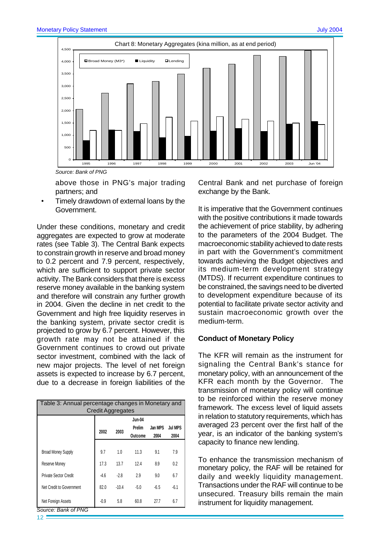

above those in PNG's major trading partners; and

• Timely drawdown of external loans by the Government.

Under these conditions, monetary and credit aggregates are expected to grow at moderate rates (see Table 3). The Central Bank expects to constrain growth in reserve and broad money to 0.2 percent and 7.9 percent, respectively, which are sufficient to support private sector activity. The Bank considers that there is excess reserve money available in the banking system and therefore will constrain any further growth in 2004. Given the decline in net credit to the Government and high free liquidity reserves in the banking system, private sector credit is projected to grow by 6.7 percent. However, this growth rate may not be attained if the Government continues to crowd out private sector investment, combined with the lack of new major projects. The level of net foreign assets is expected to increase by 6.7 percent, due to a decrease in foreign liabilities of the

| Table 3: Annual percentage changes in Monetary and<br><b>Credit Aggregates</b> |        |         |               |         |         |
|--------------------------------------------------------------------------------|--------|---------|---------------|---------|---------|
|                                                                                |        |         | <b>Jun-04</b> |         |         |
|                                                                                | 2002   | 2003    | Prelim        | Jan MPS | Jul MPS |
|                                                                                |        |         | Outcome       | 2004    | 2004    |
| <b>Broad Money Supply</b>                                                      | 9.7    | 1.0     | 11.3          | 9.1     | 7.9     |
| Reserve Money                                                                  | 17.3   | 13.7    | 12.4          | 8.9     | 0.2     |
| Private Sector Credit                                                          | $-4.6$ | $-2.8$  | 2.9           | 9.0     | 6.7     |
| Net Credit to Government                                                       | 82.0   | $-10.4$ | $-5.0$        | $-6.5$  | $-6.1$  |
| Net Foreign Assets<br>Source: Bank of PNG                                      | $-0.9$ | 5.8     | 60.8          | 27.7    | 6.7     |

Central Bank and net purchase of foreign exchange by the Bank.

It is imperative that the Government continues with the positive contributions it made towards the achievement of price stability, by adhering to the parameters of the 2004 Budget. The macroeconomic stability achieved to date rests in part with the Government's commitment towards achieving the Budget objectives and its medium-term development strategy (MTDS). If recurrent expenditure continues to be constrained, the savings need to be diverted to development expenditure because of its potential to facilitate private sector activity and sustain macroeconomic growth over the medium-term.

#### **Conduct of Monetary Policy**

The KFR will remain as the instrument for signaling the Central Bank's stance for monetary policy, with an announcement of the KFR each month by the Governor. The transmission of monetary policy will continue to be reinforced within the reserve money framework. The excess level of liquid assets in relation to statutory requirements, which has averaged 23 percent over the first half of the year, is an indicator of the banking system's capacity to finance new lending.

To enhance the transmission mechanism of monetary policy, the RAF will be retained for daily and weekly liquidity management. Transactions under the RAF will continue to be unsecured. Treasury bills remain the main instrument for liquidity management.